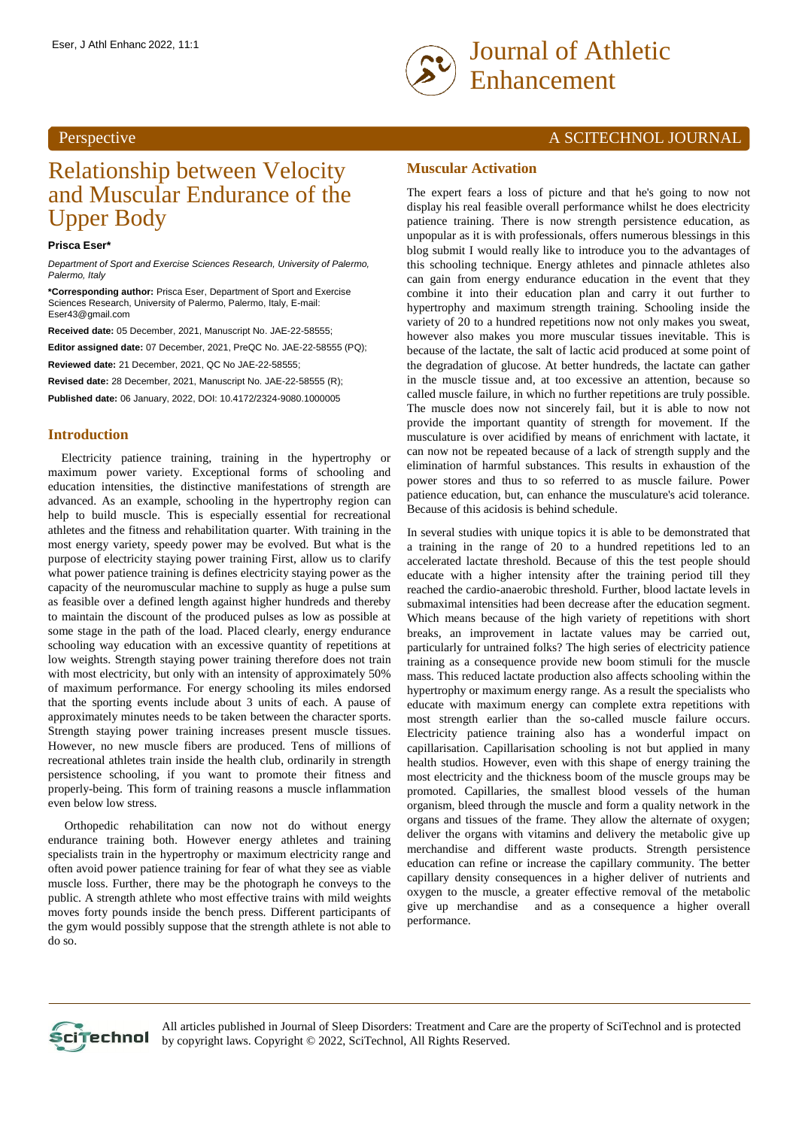## Perspective

# Relationship between Velocity and Muscular Endurance of the Upper Body

#### **Prisca Eser\***

*Department of Sport and Exercise Sciences Research, University of Palermo, Palermo, Italy*

**\*Corresponding author:** Prisca Eser, Department of Sport and Exercise Sciences Research, University of Palermo, Palermo, Italy, E-mail: Eser43@gmail.com

**Received date:** 05 December, 2021, Manuscript No. JAE-22-58555;

**Editor assigned date:** 07 December, 2021, PreQC No. JAE-22-58555 (PQ); **Reviewed date:** 21 December, 2021, QC No JAE-22-58555;

**Revised date:** 28 December, 2021, Manuscript No. JAE-22-58555 (R);

**Published date:** 06 January, 2022, DOI: 10.4172/2324-9080.1000005

## **Introduction**

Electricity patience training, training in the hypertrophy or maximum power variety. Exceptional forms of schooling and education intensities, the distinctive manifestations of strength are advanced. As an example, schooling in the hypertrophy region can help to build muscle. This is especially essential for recreational athletes and the fitness and rehabilitation quarter. With training in the most energy variety, speedy power may be evolved. But what is the purpose of electricity staying power training First, allow us to clarify what power patience training is defines electricity staying power as the capacity of the neuromuscular machine to supply as huge a pulse sum as feasible over a defined length against higher hundreds and thereby to maintain the discount of the produced pulses as low as possible at some stage in the path of the load. Placed clearly, energy endurance schooling way education with an excessive quantity of repetitions at low weights. Strength staying power training therefore does not train with most electricity, but only with an intensity of approximately 50% of maximum performance. For energy schooling its miles endorsed that the sporting events include about 3 units of each. A pause of approximately minutes needs to be taken between the character sports. Strength staying power training increases present muscle tissues. However, no new muscle fibers are produced. Tens of millions of recreational athletes train inside the health club, ordinarily in strength persistence schooling, if you want to promote their fitness and properly-being. This form of training reasons a muscle inflammation even below low stress.

Orthopedic rehabilitation can now not do without energy endurance training both. However energy athletes and training specialists train in the hypertrophy or maximum electricity range and often avoid power patience training for fear of what they see as viable muscle loss. Further, there may be the photograph he conveys to the public. A strength athlete who most effective trains with mild weights moves forty pounds inside the bench press. Different participants of the gym would possibly suppose that the strength athlete is not able to do so.

# A SCITECHNOL JOURNAL

#### **Muscular Activation**

The expert fears a loss of picture and that he's going to now not display his real feasible overall performance whilst he does electricity patience training. There is now strength persistence education, as unpopular as it is with professionals, offers numerous blessings in this blog submit I would really like to introduce you to the advantages of this schooling technique. Energy athletes and pinnacle athletes also can gain from energy endurance education in the event that they combine it into their education plan and carry it out further to hypertrophy and maximum strength training. Schooling inside the variety of 20 to a hundred repetitions now not only makes you sweat, however also makes you more muscular tissues inevitable. This is because of the lactate, the salt of lactic acid produced at some point of the degradation of glucose. At better hundreds, the lactate can gather in the muscle tissue and, at too excessive an attention, because so called muscle failure, in which no further repetitions are truly possible. The muscle does now not sincerely fail, but it is able to now not provide the important quantity of strength for movement. If the musculature is over acidified by means of enrichment with lactate, it can now not be repeated because of a lack of strength supply and the elimination of harmful substances. This results in exhaustion of the power stores and thus to so referred to as muscle failure. Power patience education, but, can enhance the musculature's acid tolerance. Because of this acidosis is behind schedule.

In several studies with unique topics it is able to be demonstrated that a training in the range of 20 to a hundred repetitions led to an accelerated lactate threshold. Because of this the test people should educate with a higher intensity after the training period till they reached the cardio-anaerobic threshold. Further, blood lactate levels in submaximal intensities had been decrease after the education segment. Which means because of the high variety of repetitions with short breaks, an improvement in lactate values may be carried out, particularly for untrained folks? The high series of electricity patience training as a consequence provide new boom stimuli for the muscle mass. This reduced lactate production also affects schooling within the hypertrophy or maximum energy range. As a result the specialists who educate with maximum energy can complete extra repetitions with most strength earlier than the so-called muscle failure occurs. Electricity patience training also has a wonderful impact on capillarisation. Capillarisation schooling is not but applied in many health studios. However, even with this shape of energy training the most electricity and the thickness boom of the muscle groups may be promoted. Capillaries, the smallest blood vessels of the human organism, bleed through the muscle and form a quality network in the organs and tissues of the frame. They allow the alternate of oxygen; deliver the organs with vitamins and delivery the metabolic give up merchandise and different waste products. Strength persistence education can refine or increase the capillary community. The better capillary density consequences in a higher deliver of nutrients and oxygen to the muscle, a greater effective removal of the metabolic give up merchandise and as a consequence a higher overall performance.



All articles published in Journal of Sleep Disorders: Treatment and Care are the property of SciTechnol and is protected by copyright laws. Copyright © 2022, SciTechnol, All Rights Reserved.